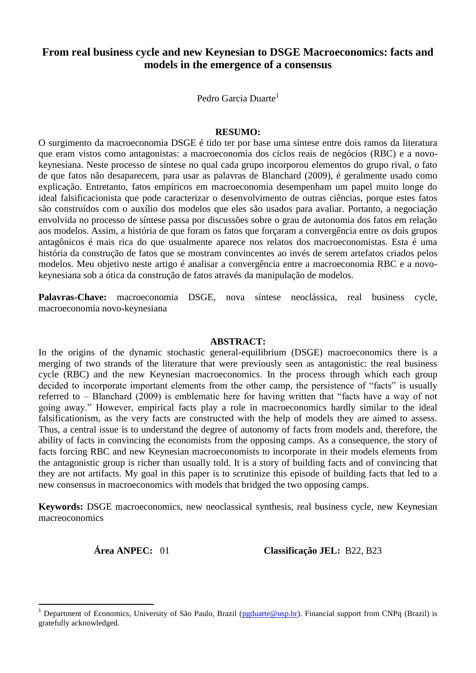# **From real business cycle and new Keynesian to DSGE Macroeconomics: facts and models in the emergence of a consensus**

Pedro Garcia Duarte<sup>1</sup>

#### **RESUMO:**

O surgimento da macroeconomia DSGE é tido ter por base uma síntese entre dois ramos da literatura que eram vistos como antagonistas: a macroeconomia dos ciclos reais de negócios (RBC) e a novokeynesiana. Neste processo de síntese no qual cada grupo incorporou elementos do grupo rival, o fato de que fatos não desaparecem, para usar as palavras de Blanchard (2009), é geralmente usado como explicação. Entretanto, fatos empíricos em macroeconomia desempenham um papel muito longe do ideal falsificacionista que pode caracterizar o desenvolvimento de outras ciências, porque estes fatos são construídos com o auxílio dos modelos que eles são usados para avaliar. Portanto, a negociação envolvida no processo de síntese passa por discussões sobre o grau de autonomia dos fatos em relação aos modelos. Assim, a história de que foram os fatos que forçaram a convergência entre os dois grupos antagônicos é mais rica do que usualmente aparece nos relatos dos macroeconomistas. Esta é uma história da construção de fatos que se mostram convincentes ao invés de serem artefatos criados pelos modelos. Meu objetivo neste artigo é analisar a convergência entre a macroeconomia RBC e a novokeynesiana sob a ótica da construção de fatos através da manipulação de modelos.

**Palavras-Chave:** macroeconomia DSGE, nova síntese neoclássica, real business cycle, macroeconomia novo-keynesiana

#### **ABSTRACT:**

In the origins of the dynamic stochastic general-equilibrium (DSGE) macroeconomics there is a merging of two strands of the literature that were previously seen as antagonistic: the real business cycle (RBC) and the new Keynesian macroeconomics. In the process through which each group decided to incorporate important elements from the other camp, the persistence of "facts" is usually referred to – Blanchard (2009) is emblematic here for having written that "facts have a way of not going away." However, empirical facts play a role in macroeconomics hardly similar to the ideal falsificationism, as the very facts are constructed with the help of models they are aimed to assess. Thus, a central issue is to understand the degree of autonomy of facts from models and, therefore, the ability of facts in convincing the economists from the opposing camps. As a consequence, the story of facts forcing RBC and new Keynesian macroeconomists to incorporate in their models elements from the antagonistic group is richer than usually told. It is a story of building facts and of convincing that they are not artifacts. My goal in this paper is to scrutinize this episode of building facts that led to a new consensus in macroeconomics with models that bridged the two opposing camps.

**Keywords:** DSGE macroeconomics, new neoclassical synthesis, real business cycle, new Keynesian macreoconomics

 $\overline{a}$ 

**Área ANPEC:** 01 **Classificação JEL:** B22, B23

Department of Economics, University of São Paulo, Brazil [\(pgduarte@usp.br\)](mailto:pgduarte@usp.br). Financial support from CNPq (Brazil) is gratefully acknowledged.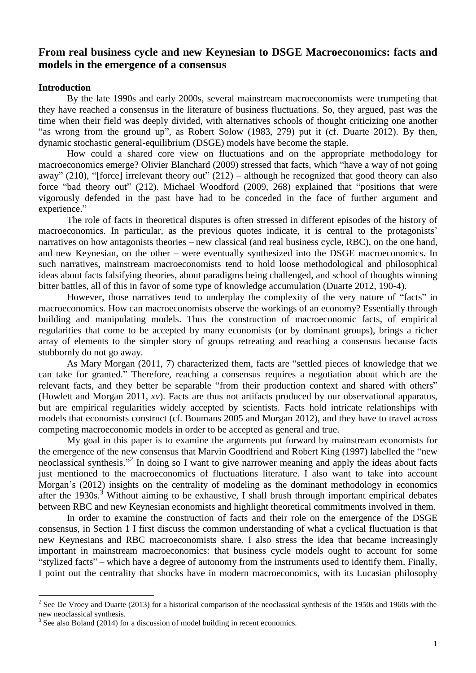## **From real business cycle and new Keynesian to DSGE Macroeconomics: facts and models in the emergence of a consensus**

#### **Introduction**

By the late 1990s and early 2000s, several mainstream macroeconomists were trumpeting that they have reached a consensus in the literature of business fluctuations. So, they argued, past was the time when their field was deeply divided, with alternatives schools of thought criticizing one another "as wrong from the ground up", as Robert Solow (1983, 279) put it (cf. Duarte 2012). By then, dynamic stochastic general-equilibrium (DSGE) models have become the staple.

How could a shared core view on fluctuations and on the appropriate methodology for macroeconomics emerge? Olivier Blanchard (2009) stressed that facts, which "have a way of not going away" (210), "[force] irrelevant theory out" (212) – although he recognized that good theory can also force "bad theory out" (212). Michael Woodford (2009, 268) explained that "positions that were vigorously defended in the past have had to be conceded in the face of further argument and experience."

The role of facts in theoretical disputes is often stressed in different episodes of the history of macroeconomics. In particular, as the previous quotes indicate, it is central to the protagonists' narratives on how antagonists theories – new classical (and real business cycle, RBC), on the one hand, and new Keynesian, on the other – were eventually synthesized into the DSGE macroeconomics. In such narratives, mainstream macroeconomists tend to hold loose methodological and philosophical ideas about facts falsifying theories, about paradigms being challenged, and school of thoughts winning bitter battles, all of this in favor of some type of knowledge accumulation (Duarte 2012, 190-4).

However, those narratives tend to underplay the complexity of the very nature of "facts" in macroeconomics. How can macroeconomists observe the workings of an economy? Essentially through building and manipulating models. Thus the construction of macroeconomic facts, of empirical regularities that come to be accepted by many economists (or by dominant groups), brings a richer array of elements to the simpler story of groups retreating and reaching a consensus because facts stubbornly do not go away.

As Mary Morgan (2011, 7) characterized them, facts are "settled pieces of knowledge that we can take for granted." Therefore, reaching a consensus requires a negotiation about which are the relevant facts, and they better be separable "from their production context and shared with others" (Howlett and Morgan 2011, *xv*). Facts are thus not artifacts produced by our observational apparatus, but are empirical regularities widely accepted by scientists. Facts hold intricate relationships with models that economists construct (cf. Boumans 2005 and Morgan 2012), and they have to travel across competing macroeconomic models in order to be accepted as general and true.

My goal in this paper is to examine the arguments put forward by mainstream economists for the emergence of the new consensus that Marvin Goodfriend and Robert King (1997) labelled the "new neoclassical synthesis." 2 In doing so I want to give narrower meaning and apply the ideas about facts just mentioned to the macroeconomics of fluctuations literature. I also want to take into account Morgan's (2012) insights on the centrality of modeling as the dominant methodology in economics after the  $1930s$ .<sup>3</sup> Without aiming to be exhaustive, I shall brush through important empirical debates between RBC and new Keynesian economists and highlight theoretical commitments involved in them.

In order to examine the construction of facts and their role on the emergence of the DSGE consensus, in Section 1 I first discuss the common understanding of what a cyclical fluctuation is that new Keynesians and RBC macroeconomists share. I also stress the idea that became increasingly important in mainstream macroeconomics: that business cycle models ought to account for some "stylized facts" – which have a degree of autonomy from the instruments used to identify them. Finally, I point out the centrality that shocks have in modern macroeconomics, with its Lucasian philosophy

<sup>&</sup>lt;sup>2</sup> See De Vroey and Duarte (2013) for a historical comparison of the neoclassical synthesis of the 1950s and 1960s with the new neoclassical synthesis.

 $3$  See also Boland (2014) for a discussion of model building in recent economics.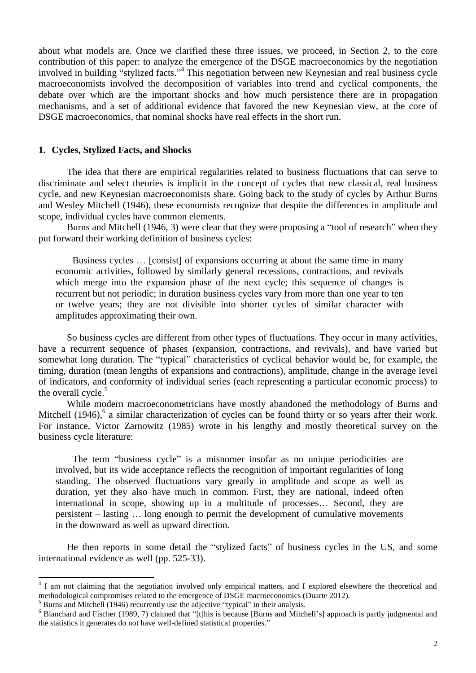about what models are. Once we clarified these three issues, we proceed, in Section 2, to the core contribution of this paper: to analyze the emergence of the DSGE macroeconomics by the negotiation involved in building "stylized facts." 4 This negotiation between new Keynesian and real business cycle macroeconomists involved the decomposition of variables into trend and cyclical components, the debate over which are the important shocks and how much persistence there are in propagation mechanisms, and a set of additional evidence that favored the new Keynesian view, at the core of DSGE macroeconomics, that nominal shocks have real effects in the short run.

#### **1. Cycles, Stylized Facts, and Shocks**

The idea that there are empirical regularities related to business fluctuations that can serve to discriminate and select theories is implicit in the concept of cycles that new classical, real business cycle, and new Keynesian macroeconomists share. Going back to the study of cycles by Arthur Burns and Wesley Mitchell (1946), these economists recognize that despite the differences in amplitude and scope, individual cycles have common elements.

Burns and Mitchell (1946, 3) were clear that they were proposing a "tool of research" when they put forward their working definition of business cycles:

Business cycles … [consist] of expansions occurring at about the same time in many economic activities, followed by similarly general recessions, contractions, and revivals which merge into the expansion phase of the next cycle; this sequence of changes is recurrent but not periodic; in duration business cycles vary from more than one year to ten or twelve years; they are not divisible into shorter cycles of similar character with amplitudes approximating their own.

So business cycles are different from other types of fluctuations. They occur in many activities, have a recurrent sequence of phases (expansion, contractions, and revivals), and have varied but somewhat long duration. The "typical" characteristics of cyclical behavior would be, for example, the timing, duration (mean lengths of expansions and contractions), amplitude, change in the average level of indicators, and conformity of individual series (each representing a particular economic process) to the overall cycle.<sup>5</sup>

While modern macroeconometricians have mostly abandoned the methodology of Burns and Mitchell  $(1946)$ ,  $6$  a similar characterization of cycles can be found thirty or so years after their work. For instance, Victor Zarnowitz (1985) wrote in his lengthy and mostly theoretical survey on the business cycle literature:

The term "business cycle" is a misnomer insofar as no unique periodicities are involved, but its wide acceptance reflects the recognition of important regularities of long standing. The observed fluctuations vary greatly in amplitude and scope as well as duration, yet they also have much in common. First, they are national, indeed often international in scope, showing up in a multitude of processes… Second, they are persistent – lasting … long enough to permit the development of cumulative movements in the downward as well as upward direction.

He then reports in some detail the "stylized facts" of business cycles in the US, and some international evidence as well (pp. 525-33).

<sup>&</sup>lt;sup>4</sup> I am not claiming that the negotiation involved only empirical matters, and I explored elsewhere the theoretical and methodological compromises related to the emergence of DSGE macroeconomics (Duarte 2012).

<sup>5</sup> Burns and Mitchell (1946) recurrently use the adjective "typical" in their analysis.

<sup>&</sup>lt;sup>6</sup> Blanchard and Fischer (1989, 7) claimed that "[t]his is because [Burns and Mitchell's] approach is partly judgmental and the statistics it generates do not have well-defined statistical properties."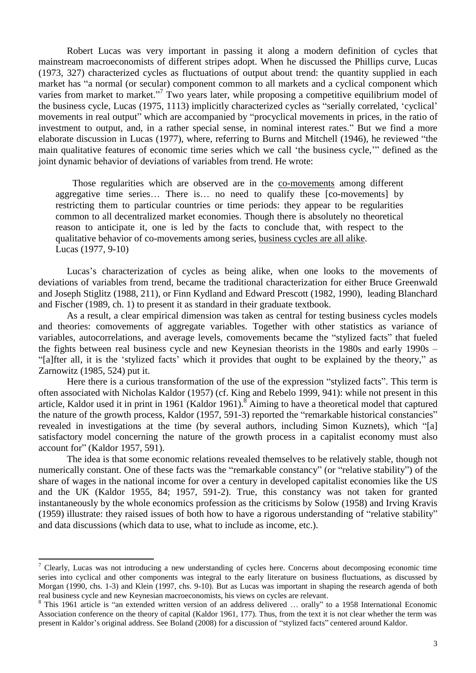Robert Lucas was very important in passing it along a modern definition of cycles that mainstream macroeconomists of different stripes adopt. When he discussed the Phillips curve, Lucas (1973, 327) characterized cycles as fluctuations of output about trend: the quantity supplied in each market has "a normal (or secular) component common to all markets and a cyclical component which varies from market to market."<sup>7</sup> Two years later, while proposing a competitive equilibrium model of the business cycle, Lucas (1975, 1113) implicitly characterized cycles as "serially correlated, 'cyclical' movements in real output" which are accompanied by "procyclical movements in prices, in the ratio of investment to output, and, in a rather special sense, in nominal interest rates." But we find a more elaborate discussion in Lucas (1977), where, referring to Burns and Mitchell (1946), he reviewed "the main qualitative features of economic time series which we call 'the business cycle,'" defined as the joint dynamic behavior of deviations of variables from trend. He wrote:

Those regularities which are observed are in the co-movements among different aggregative time series… There is… no need to qualify these [co-movements] by restricting them to particular countries or time periods: they appear to be regularities common to all decentralized market economies. Though there is absolutely no theoretical reason to anticipate it, one is led by the facts to conclude that, with respect to the qualitative behavior of co-movements among series, business cycles are all alike. Lucas (1977, 9-10)

Lucas's characterization of cycles as being alike, when one looks to the movements of deviations of variables from trend, became the traditional characterization for either Bruce Greenwald and Joseph Stiglitz (1988, 211), or Finn Kydland and Edward Prescott (1982, 1990), leading Blanchard and Fischer (1989, ch. 1) to present it as standard in their graduate textbook.

As a result, a clear empirical dimension was taken as central for testing business cycles models and theories: comovements of aggregate variables. Together with other statistics as variance of variables, autocorrelations, and average levels, comovements became the "stylized facts" that fueled the fights between real business cycle and new Keynesian theorists in the 1980s and early 1990s – "[a]fter all, it is the 'stylized facts' which it provides that ought to be explained by the theory," as Zarnowitz (1985, 524) put it.

Here there is a curious transformation of the use of the expression "stylized facts". This term is often associated with Nicholas Kaldor (1957) (cf. King and Rebelo 1999, 941): while not present in this article, Kaldor used it in print in 1961 (Kaldor 1961).<sup>8</sup> Aiming to have a theoretical model that captured the nature of the growth process, Kaldor (1957, 591-3) reported the "remarkable historical constancies" revealed in investigations at the time (by several authors, including Simon Kuznets), which "[a] satisfactory model concerning the nature of the growth process in a capitalist economy must also account for" (Kaldor 1957, 591).

The idea is that some economic relations revealed themselves to be relatively stable, though not numerically constant. One of these facts was the "remarkable constancy" (or "relative stability") of the share of wages in the national income for over a century in developed capitalist economies like the US and the UK (Kaldor 1955, 84; 1957, 591-2). True, this constancy was not taken for granted instantaneously by the whole economics profession as the criticisms by Solow (1958) and Irving Kravis (1959) illustrate: they raised issues of both how to have a rigorous understanding of "relative stability" and data discussions (which data to use, what to include as income, etc.).

 $\frac{7}{1}$  Clearly, Lucas was not introducing a new understanding of cycles here. Concerns about decomposing economic time series into cyclical and other components was integral to the early literature on business fluctuations, as discussed by Morgan (1990, chs. 1-3) and Klein (1997, chs. 9-10). But as Lucas was important in shaping the research agenda of both real business cycle and new Keynesian macroeconomists, his views on cycles are relevant.

<sup>&</sup>lt;sup>8</sup> This 1961 article is "an extended written version of an address delivered ... orally" to a 1958 International Economic Association conference on the theory of capital (Kaldor 1961, 177). Thus, from the text it is not clear whether the term was present in Kaldor's original address. See Boland (2008) for a discussion of "stylized facts" centered around Kaldor.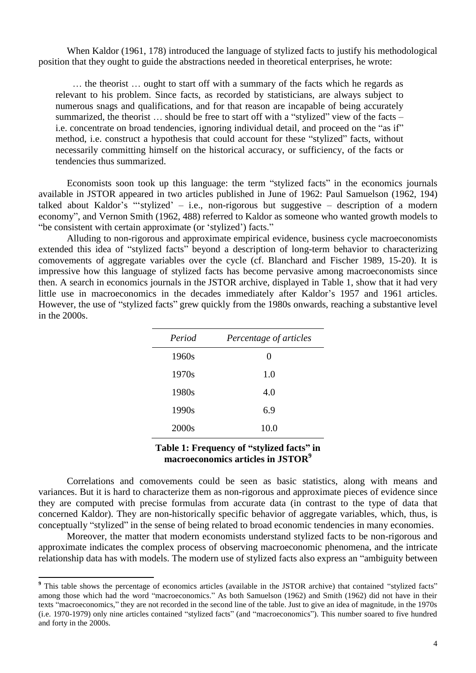When Kaldor (1961, 178) introduced the language of stylized facts to justify his methodological position that they ought to guide the abstractions needed in theoretical enterprises, he wrote:

… the theorist … ought to start off with a summary of the facts which he regards as relevant to his problem. Since facts, as recorded by statisticians, are always subject to numerous snags and qualifications, and for that reason are incapable of being accurately summarized, the theorist … should be free to start off with a "stylized" view of the facts – i.e. concentrate on broad tendencies, ignoring individual detail, and proceed on the "as if" method, i.e. construct a hypothesis that could account for these "stylized" facts, without necessarily committing himself on the historical accuracy, or sufficiency, of the facts or tendencies thus summarized.

Economists soon took up this language: the term "stylized facts" in the economics journals available in JSTOR appeared in two articles published in June of 1962: Paul Samuelson (1962, 194) talked about Kaldor's "'stylized' – i.e., non-rigorous but suggestive – description of a modern economy", and Vernon Smith (1962, 488) referred to Kaldor as someone who wanted growth models to "be consistent with certain approximate (or 'stylized') facts."

Alluding to non-rigorous and approximate empirical evidence, business cycle macroeconomists extended this idea of "stylized facts" beyond a description of long-term behavior to characterizing comovements of aggregate variables over the cycle (cf. Blanchard and Fischer 1989, 15-20). It is impressive how this language of stylized facts has become pervasive among macroeconomists since then. A search in economics journals in the JSTOR archive, displayed in Table 1, show that it had very little use in macroeconomics in the decades immediately after Kaldor's 1957 and 1961 articles. However, the use of "stylized facts" grew quickly from the 1980s onwards, reaching a substantive level in the 2000s.

| Period            | Percentage of articles |
|-------------------|------------------------|
| 1960s             | $\Omega$               |
| 1970s             | 1.0                    |
| 1980s             | 4.0                    |
| 1990s             | 6.9                    |
| 2000 <sub>s</sub> | 10.0                   |

## **Table 1: Frequency of "stylized facts" in macroeconomics articles in JSTOR<sup>9</sup>**

Correlations and comovements could be seen as basic statistics, along with means and variances. But it is hard to characterize them as non-rigorous and approximate pieces of evidence since they are computed with precise formulas from accurate data (in contrast to the type of data that concerned Kaldor). They are non-historically specific behavior of aggregate variables, which, thus, is conceptually "stylized" in the sense of being related to broad economic tendencies in many economies.

Moreover, the matter that modern economists understand stylized facts to be non-rigorous and approximate indicates the complex process of observing macroeconomic phenomena, and the intricate relationship data has with models. The modern use of stylized facts also express an "ambiguity between

**<sup>9</sup>** This table shows the percentage of economics articles (available in the JSTOR archive) that contained "stylized facts" among those which had the word "macroeconomics." As both Samuelson (1962) and Smith (1962) did not have in their texts "macroeconomics," they are not recorded in the second line of the table. Just to give an idea of magnitude, in the 1970s (i.e. 1970-1979) only nine articles contained "stylized facts" (and "macroeconomics"). This number soared to five hundred and forty in the 2000s.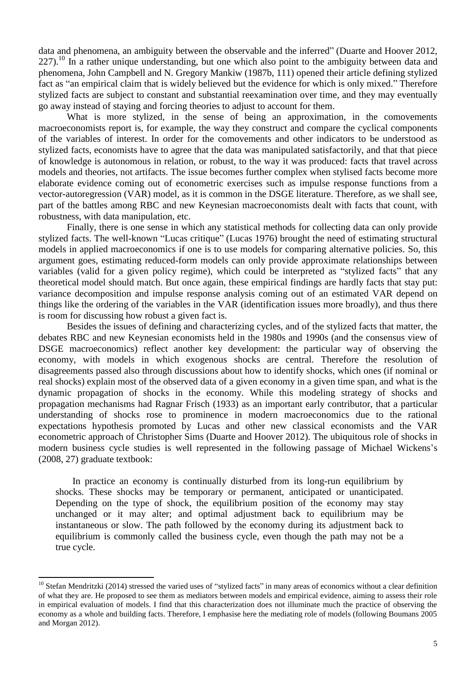data and phenomena, an ambiguity between the observable and the inferred" (Duarte and Hoover 2012,  $227$ ).<sup>10</sup> In a rather unique understanding, but one which also point to the ambiguity between data and phenomena, John Campbell and N. Gregory Mankiw (1987b, 111) opened their article defining stylized fact as "an empirical claim that is widely believed but the evidence for which is only mixed." Therefore stylized facts are subject to constant and substantial reexamination over time, and they may eventually go away instead of staying and forcing theories to adjust to account for them.

What is more stylized, in the sense of being an approximation, in the comovements macroeconomists report is, for example, the way they construct and compare the cyclical components of the variables of interest. In order for the comovements and other indicators to be understood as stylized facts, economists have to agree that the data was manipulated satisfactorily, and that that piece of knowledge is autonomous in relation, or robust, to the way it was produced: facts that travel across models and theories, not artifacts. The issue becomes further complex when stylised facts become more elaborate evidence coming out of econometric exercises such as impulse response functions from a vector-autoregression (VAR) model, as it is common in the DSGE literature. Therefore, as we shall see, part of the battles among RBC and new Keynesian macroeconomists dealt with facts that count, with robustness, with data manipulation, etc.

Finally, there is one sense in which any statistical methods for collecting data can only provide stylized facts. The well-known "Lucas critique" (Lucas 1976) brought the need of estimating structural models in applied macroeconomics if one is to use models for comparing alternative policies. So, this argument goes, estimating reduced-form models can only provide approximate relationships between variables (valid for a given policy regime), which could be interpreted as "stylized facts" that any theoretical model should match. But once again, these empirical findings are hardly facts that stay put: variance decomposition and impulse response analysis coming out of an estimated VAR depend on things like the ordering of the variables in the VAR (identification issues more broadly), and thus there is room for discussing how robust a given fact is.

Besides the issues of defining and characterizing cycles, and of the stylized facts that matter, the debates RBC and new Keynesian economists held in the 1980s and 1990s (and the consensus view of DSGE macroeconomics) reflect another key development: the particular way of observing the economy, with models in which exogenous shocks are central. Therefore the resolution of disagreements passed also through discussions about how to identify shocks, which ones (if nominal or real shocks) explain most of the observed data of a given economy in a given time span, and what is the dynamic propagation of shocks in the economy. While this modeling strategy of shocks and propagation mechanisms had Ragnar Frisch (1933) as an important early contributor, that a particular understanding of shocks rose to prominence in modern macroeconomics due to the rational expectations hypothesis promoted by Lucas and other new classical economists and the VAR econometric approach of Christopher Sims (Duarte and Hoover 2012). The ubiquitous role of shocks in modern business cycle studies is well represented in the following passage of Michael Wickens's (2008, 27) graduate textbook:

In practice an economy is continually disturbed from its long-run equilibrium by shocks. These shocks may be temporary or permanent, anticipated or unanticipated. Depending on the type of shock, the equilibrium position of the economy may stay unchanged or it may alter; and optimal adjustment back to equilibrium may be instantaneous or slow. The path followed by the economy during its adjustment back to equilibrium is commonly called the business cycle, even though the path may not be a true cycle.

 $10$  Stefan Mendritzki (2014) stressed the varied uses of "stylized facts" in many areas of economics without a clear definition of what they are. He proposed to see them as mediators between models and empirical evidence, aiming to assess their role in empirical evaluation of models. I find that this characterization does not illuminate much the practice of observing the economy as a whole and building facts. Therefore, I emphasise here the mediating role of models (following Boumans 2005 and Morgan 2012).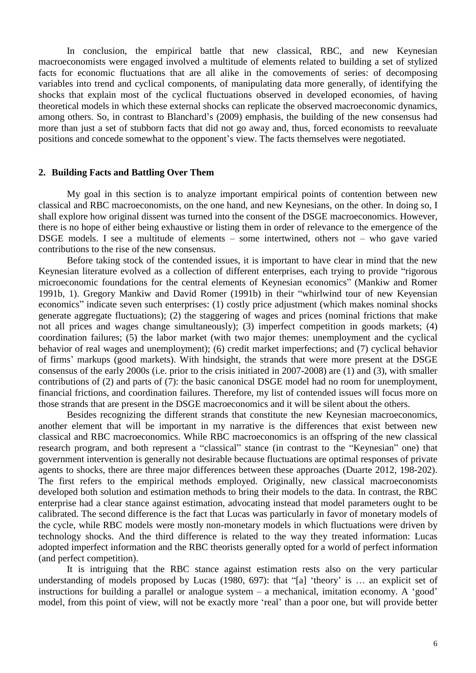In conclusion, the empirical battle that new classical, RBC, and new Keynesian macroeconomists were engaged involved a multitude of elements related to building a set of stylized facts for economic fluctuations that are all alike in the comovements of series: of decomposing variables into trend and cyclical components, of manipulating data more generally, of identifying the shocks that explain most of the cyclical fluctuations observed in developed economies, of having theoretical models in which these external shocks can replicate the observed macroeconomic dynamics, among others. So, in contrast to Blanchard's (2009) emphasis, the building of the new consensus had more than just a set of stubborn facts that did not go away and, thus, forced economists to reevaluate positions and concede somewhat to the opponent's view. The facts themselves were negotiated.

#### **2. Building Facts and Battling Over Them**

My goal in this section is to analyze important empirical points of contention between new classical and RBC macroeconomists, on the one hand, and new Keynesians, on the other. In doing so, I shall explore how original dissent was turned into the consent of the DSGE macroeconomics. However, there is no hope of either being exhaustive or listing them in order of relevance to the emergence of the DSGE models. I see a multitude of elements – some intertwined, others not – who gave varied contributions to the rise of the new consensus.

Before taking stock of the contended issues, it is important to have clear in mind that the new Keynesian literature evolved as a collection of different enterprises, each trying to provide "rigorous microeconomic foundations for the central elements of Keynesian economics" (Mankiw and Romer 1991b, 1). Gregory Mankiw and David Romer (1991b) in their "whirlwind tour of new Keyensian economics" indicate seven such enterprises: (1) costly price adjustment (which makes nominal shocks generate aggregate fluctuations); (2) the staggering of wages and prices (nominal frictions that make not all prices and wages change simultaneously); (3) imperfect competition in goods markets; (4) coordination failures; (5) the labor market (with two major themes: unemployment and the cyclical behavior of real wages and unemployment); (6) credit market imperfections; and (7) cyclical behavior of firms' markups (good markets). With hindsight, the strands that were more present at the DSGE consensus of the early 2000s (i.e. prior to the crisis initiated in 2007-2008) are (1) and (3), with smaller contributions of (2) and parts of (7): the basic canonical DSGE model had no room for unemployment, financial frictions, and coordination failures. Therefore, my list of contended issues will focus more on those strands that are present in the DSGE macroeconomics and it will be silent about the others.

Besides recognizing the different strands that constitute the new Keynesian macroeconomics, another element that will be important in my narrative is the differences that exist between new classical and RBC macroeconomics. While RBC macroeconomics is an offspring of the new classical research program, and both represent a "classical" stance (in contrast to the "Keynesian" one) that government intervention is generally not desirable because fluctuations are optimal responses of private agents to shocks, there are three major differences between these approaches (Duarte 2012, 198-202). The first refers to the empirical methods employed. Originally, new classical macroeconomists developed both solution and estimation methods to bring their models to the data. In contrast, the RBC enterprise had a clear stance against estimation, advocating instead that model parameters ought to be calibrated. The second difference is the fact that Lucas was particularly in favor of monetary models of the cycle, while RBC models were mostly non-monetary models in which fluctuations were driven by technology shocks. And the third difference is related to the way they treated information: Lucas adopted imperfect information and the RBC theorists generally opted for a world of perfect information (and perfect competition).

It is intriguing that the RBC stance against estimation rests also on the very particular understanding of models proposed by Lucas (1980, 697): that "[a] 'theory' is ... an explicit set of instructions for building a parallel or analogue system – a mechanical, imitation economy. A 'good' model, from this point of view, will not be exactly more 'real' than a poor one, but will provide better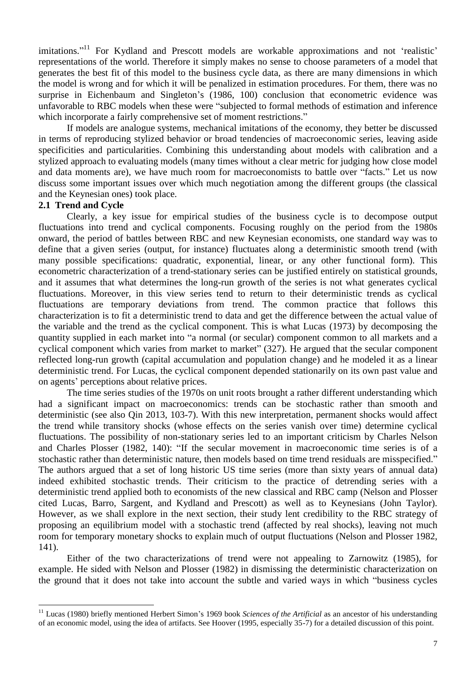imitations."<sup>11</sup> For Kydland and Prescott models are workable approximations and not 'realistic' representations of the world. Therefore it simply makes no sense to choose parameters of a model that generates the best fit of this model to the business cycle data, as there are many dimensions in which the model is wrong and for which it will be penalized in estimation procedures. For them, there was no surprise in Eichenbaum and Singleton's (1986, 100) conclusion that econometric evidence was unfavorable to RBC models when these were "subjected to formal methods of estimation and inference which incorporate a fairly comprehensive set of moment restrictions."

If models are analogue systems, mechanical imitations of the economy, they better be discussed in terms of reproducing stylized behavior or broad tendencies of macroeconomic series, leaving aside specificities and particularities. Combining this understanding about models with calibration and a stylized approach to evaluating models (many times without a clear metric for judging how close model and data moments are), we have much room for macroeconomists to battle over "facts." Let us now discuss some important issues over which much negotiation among the different groups (the classical and the Keynesian ones) took place.

### **2.1 Trend and Cycle**

 $\overline{a}$ 

Clearly, a key issue for empirical studies of the business cycle is to decompose output fluctuations into trend and cyclical components. Focusing roughly on the period from the 1980s onward, the period of battles between RBC and new Keynesian economists, one standard way was to define that a given series (output, for instance) fluctuates along a deterministic smooth trend (with many possible specifications: quadratic, exponential, linear, or any other functional form). This econometric characterization of a trend-stationary series can be justified entirely on statistical grounds, and it assumes that what determines the long-run growth of the series is not what generates cyclical fluctuations. Moreover, in this view series tend to return to their deterministic trends as cyclical fluctuations are temporary deviations from trend. The common practice that follows this characterization is to fit a deterministic trend to data and get the difference between the actual value of the variable and the trend as the cyclical component. This is what Lucas (1973) by decomposing the quantity supplied in each market into "a normal (or secular) component common to all markets and a cyclical component which varies from market to market" (327). He argued that the secular component reflected long-run growth (capital accumulation and population change) and he modeled it as a linear deterministic trend. For Lucas, the cyclical component depended stationarily on its own past value and on agents' perceptions about relative prices.

The time series studies of the 1970s on unit roots brought a rather different understanding which had a significant impact on macroeconomics: trends can be stochastic rather than smooth and deterministic (see also Qin 2013, 103-7). With this new interpretation, permanent shocks would affect the trend while transitory shocks (whose effects on the series vanish over time) determine cyclical fluctuations. The possibility of non-stationary series led to an important criticism by Charles Nelson and Charles Plosser (1982, 140): "If the secular movement in macroeconomic time series is of a stochastic rather than deterministic nature, then models based on time trend residuals are misspecified." The authors argued that a set of long historic US time series (more than sixty years of annual data) indeed exhibited stochastic trends. Their criticism to the practice of detrending series with a deterministic trend applied both to economists of the new classical and RBC camp (Nelson and Plosser cited Lucas, Barro, Sargent, and Kydland and Prescott) as well as to Keynesians (John Taylor). However, as we shall explore in the next section, their study lent credibility to the RBC strategy of proposing an equilibrium model with a stochastic trend (affected by real shocks), leaving not much room for temporary monetary shocks to explain much of output fluctuations (Nelson and Plosser 1982, 141).

Either of the two characterizations of trend were not appealing to Zarnowitz (1985), for example. He sided with Nelson and Plosser (1982) in dismissing the deterministic characterization on the ground that it does not take into account the subtle and varied ways in which "business cycles

<sup>&</sup>lt;sup>11</sup> Lucas (1980) briefly mentioned Herbert Simon's 1969 book *Sciences of the Artificial* as an ancestor of his understanding of an economic model, using the idea of artifacts. See Hoover (1995, especially 35-7) for a detailed discussion of this point.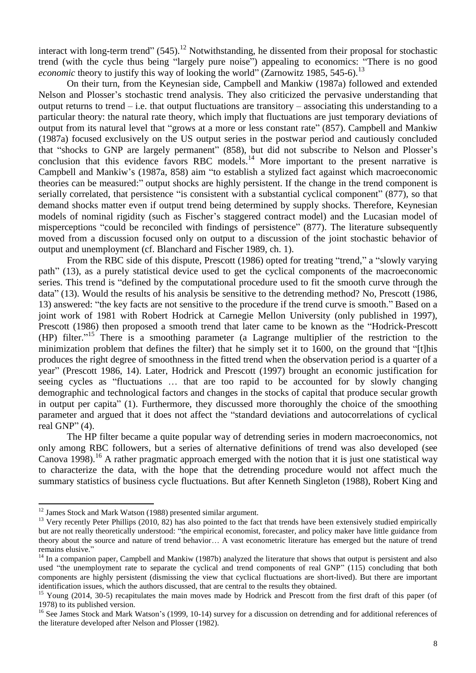interact with long-term trend" (545).<sup>12</sup> Notwithstanding, he dissented from their proposal for stochastic trend (with the cycle thus being "largely pure noise") appealing to economics: "There is no good *economic* theory to justify this way of looking the world" (Zarnowitz 1985, 545-6).<sup>13</sup>

On their turn, from the Keynesian side, Campbell and Mankiw (1987a) followed and extended Nelson and Plosser's stochastic trend analysis. They also criticized the pervasive understanding that output returns to trend – i.e. that output fluctuations are transitory – associating this understanding to a particular theory: the natural rate theory, which imply that fluctuations are just temporary deviations of output from its natural level that "grows at a more or less constant rate" (857). Campbell and Mankiw (1987a) focused exclusively on the US output series in the postwar period and cautiously concluded that "shocks to GNP are largely permanent" (858), but did not subscribe to Nelson and Plosser's conclusion that this evidence favors RBC models. $^{14}$  More important to the present narrative is Campbell and Mankiw's (1987a, 858) aim "to establish a stylized fact against which macroeconomic theories can be measured:" output shocks are highly persistent. If the change in the trend component is serially correlated, that persistence "is consistent with a substantial cyclical component" (877), so that demand shocks matter even if output trend being determined by supply shocks. Therefore, Keynesian models of nominal rigidity (such as Fischer's staggered contract model) and the Lucasian model of misperceptions "could be reconciled with findings of persistence" (877). The literature subsequently moved from a discussion focused only on output to a discussion of the joint stochastic behavior of output and unemployment (cf. Blanchard and Fischer 1989, ch. 1).

From the RBC side of this dispute, Prescott (1986) opted for treating "trend," a "slowly varying path" (13), as a purely statistical device used to get the cyclical components of the macroeconomic series. This trend is "defined by the computational procedure used to fit the smooth curve through the data" (13). Would the results of his analysis be sensitive to the detrending method? No, Prescott (1986, 13) answered: "the key facts are not sensitive to the procedure if the trend curve is smooth." Based on a joint work of 1981 with Robert Hodrick at Carnegie Mellon University (only published in 1997), Prescott (1986) then proposed a smooth trend that later came to be known as the "Hodrick-Prescott (HP) filter." <sup>15</sup> There is a smoothing parameter (a Lagrange multiplier of the restriction to the minimization problem that defines the filter) that he simply set it to 1600, on the ground that "[t]his produces the right degree of smoothness in the fitted trend when the observation period is a quarter of a year" (Prescott 1986, 14). Later, Hodrick and Prescott (1997) brought an economic justification for seeing cycles as "fluctuations … that are too rapid to be accounted for by slowly changing demographic and technological factors and changes in the stocks of capital that produce secular growth in output per capita" (1). Furthermore, they discussed more thoroughly the choice of the smoothing parameter and argued that it does not affect the "standard deviations and autocorrelations of cyclical real GNP" (4).

The HP filter became a quite popular way of detrending series in modern macroeconomics, not only among RBC followers, but a series of alternative definitions of trend was also developed (see Canova 1998).<sup>16</sup> A rather pragmatic approach emerged with the notion that it is just one statistical way to characterize the data, with the hope that the detrending procedure would not affect much the summary statistics of business cycle fluctuations. But after Kenneth Singleton (1988), Robert King and

 $12$  James Stock and Mark Watson (1988) presented similar argument.

<sup>&</sup>lt;sup>13</sup> Very recently Peter Phillips (2010, 82) has also pointed to the fact that trends have been extensively studied empirically but are not really theoretically understood: "the empirical economist, forecaster, and policy maker have little guidance from theory about the source and nature of trend behavior… A vast econometric literature has emerged but the nature of trend remains elusive."

 $14$  In a companion paper, Campbell and Mankiw (1987b) analyzed the literature that shows that output is persistent and also used "the unemployment rate to separate the cyclical and trend components of real GNP" (115) concluding that both components are highly persistent (dismissing the view that cyclical fluctuations are short-lived). But there are important identification issues, which the authors discussed, that are central to the results they obtained.

<sup>&</sup>lt;sup>15</sup> Young (2014, 30-5) recapitulates the main moves made by Hodrick and Prescott from the first draft of this paper (of 1978) to its published version.

<sup>&</sup>lt;sup>16</sup> See James Stock and Mark Watson's (1999, 10-14) survey for a discussion on detrending and for additional references of the literature developed after Nelson and Plosser (1982).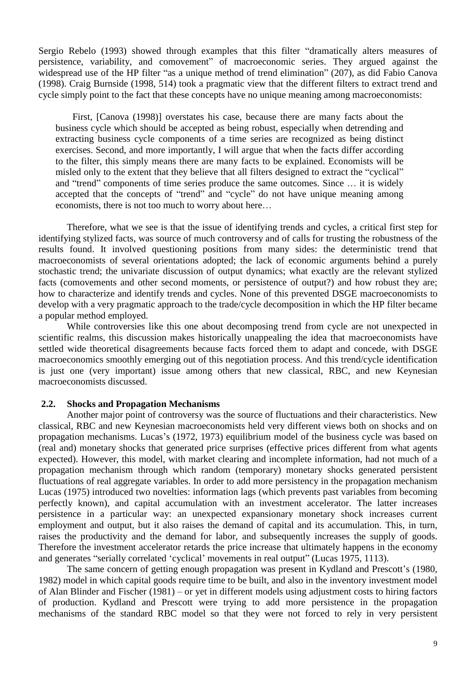Sergio Rebelo (1993) showed through examples that this filter "dramatically alters measures of persistence, variability, and comovement" of macroeconomic series. They argued against the widespread use of the HP filter "as a unique method of trend elimination" (207), as did Fabio Canova (1998). Craig Burnside (1998, 514) took a pragmatic view that the different filters to extract trend and cycle simply point to the fact that these concepts have no unique meaning among macroeconomists:

First, [Canova (1998)] overstates his case, because there are many facts about the business cycle which should be accepted as being robust, especially when detrending and extracting business cycle components of a time series are recognized as being distinct exercises. Second, and more importantly, I will argue that when the facts differ according to the filter, this simply means there are many facts to be explained. Economists will be misled only to the extent that they believe that all filters designed to extract the "cyclical" and "trend" components of time series produce the same outcomes. Since … it is widely accepted that the concepts of "trend" and "cycle" do not have unique meaning among economists, there is not too much to worry about here…

Therefore, what we see is that the issue of identifying trends and cycles, a critical first step for identifying stylized facts, was source of much controversy and of calls for trusting the robustness of the results found. It involved questioning positions from many sides: the deterministic trend that macroeconomists of several orientations adopted; the lack of economic arguments behind a purely stochastic trend; the univariate discussion of output dynamics; what exactly are the relevant stylized facts (comovements and other second moments, or persistence of output?) and how robust they are; how to characterize and identify trends and cycles. None of this prevented DSGE macroeconomists to develop with a very pragmatic approach to the trade/cycle decomposition in which the HP filter became a popular method employed.

While controversies like this one about decomposing trend from cycle are not unexpected in scientific realms, this discussion makes historically unappealing the idea that macroeconomists have settled wide theoretical disagreements because facts forced them to adapt and concede, with DSGE macroeconomics smoothly emerging out of this negotiation process. And this trend/cycle identification is just one (very important) issue among others that new classical, RBC, and new Keynesian macroeconomists discussed.

#### **2.2. Shocks and Propagation Mechanisms**

Another major point of controversy was the source of fluctuations and their characteristics. New classical, RBC and new Keynesian macroeconomists held very different views both on shocks and on propagation mechanisms. Lucas's (1972, 1973) equilibrium model of the business cycle was based on (real and) monetary shocks that generated price surprises (effective prices different from what agents expected). However, this model, with market clearing and incomplete information, had not much of a propagation mechanism through which random (temporary) monetary shocks generated persistent fluctuations of real aggregate variables. In order to add more persistency in the propagation mechanism Lucas (1975) introduced two novelties: information lags (which prevents past variables from becoming perfectly known), and capital accumulation with an investment accelerator. The latter increases persistence in a particular way: an unexpected expansionary monetary shock increases current employment and output, but it also raises the demand of capital and its accumulation. This, in turn, raises the productivity and the demand for labor, and subsequently increases the supply of goods. Therefore the investment accelerator retards the price increase that ultimately happens in the economy and generates "serially correlated 'cyclical' movements in real output" (Lucas 1975, 1113).

The same concern of getting enough propagation was present in Kydland and Prescott's (1980, 1982) model in which capital goods require time to be built, and also in the inventory investment model of Alan Blinder and Fischer (1981) – or yet in different models using adjustment costs to hiring factors of production. Kydland and Prescott were trying to add more persistence in the propagation mechanisms of the standard RBC model so that they were not forced to rely in very persistent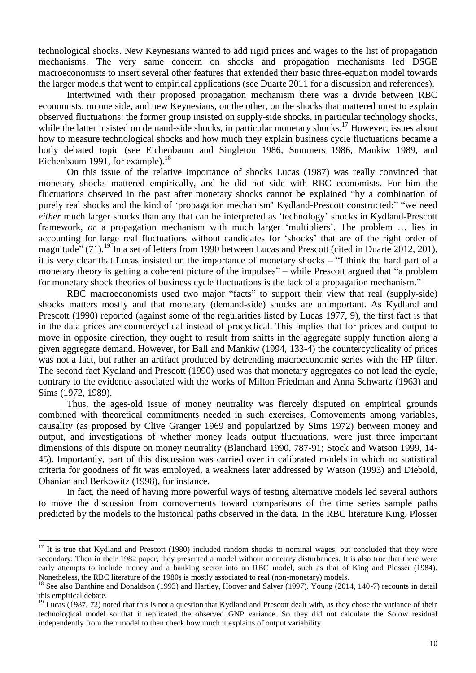technological shocks. New Keynesians wanted to add rigid prices and wages to the list of propagation mechanisms. The very same concern on shocks and propagation mechanisms led DSGE macroeconomists to insert several other features that extended their basic three-equation model towards the larger models that went to empirical applications (see Duarte 2011 for a discussion and references).

Intertwined with their proposed propagation mechanism there was a divide between RBC economists, on one side, and new Keynesians, on the other, on the shocks that mattered most to explain observed fluctuations: the former group insisted on supply-side shocks, in particular technology shocks, while the latter insisted on demand-side shocks, in particular monetary shocks.<sup>17</sup> However, issues about how to measure technological shocks and how much they explain business cycle fluctuations became a hotly debated topic (see Eichenbaum and Singleton 1986, Summers 1986, Mankiw 1989, and Eichenbaum 1991, for example). $18$ 

On this issue of the relative importance of shocks Lucas (1987) was really convinced that monetary shocks mattered empirically, and he did not side with RBC economists. For him the fluctuations observed in the past after monetary shocks cannot be explained "by a combination of purely real shocks and the kind of 'propagation mechanism' Kydland-Prescott constructed:" "we need *either* much larger shocks than any that can be interpreted as 'technology' shocks in Kydland-Prescott framework, *or* a propagation mechanism with much larger 'multipliers'. The problem … lies in accounting for large real fluctuations without candidates for 'shocks' that are of the right order of magnitude" (71).<sup>19</sup> In a set of letters from 1990 between Lucas and Prescott (cited in Duarte 2012, 201), it is very clear that Lucas insisted on the importance of monetary shocks – "I think the hard part of a monetary theory is getting a coherent picture of the impulses" – while Prescott argued that "a problem for monetary shock theories of business cycle fluctuations is the lack of a propagation mechanism."

RBC macroeconomists used two major "facts" to support their view that real (supply-side) shocks matters mostly and that monetary (demand-side) shocks are unimportant. As Kydland and Prescott (1990) reported (against some of the regularities listed by Lucas 1977, 9), the first fact is that in the data prices are countercyclical instead of procyclical. This implies that for prices and output to move in opposite direction, they ought to result from shifts in the aggregate supply function along a given aggregate demand. However, for Ball and Mankiw (1994, 133-4) the countercyclicality of prices was not a fact, but rather an artifact produced by detrending macroeconomic series with the HP filter. The second fact Kydland and Prescott (1990) used was that monetary aggregates do not lead the cycle, contrary to the evidence associated with the works of Milton Friedman and Anna Schwartz (1963) and Sims (1972, 1989).

Thus, the ages-old issue of money neutrality was fiercely disputed on empirical grounds combined with theoretical commitments needed in such exercises. Comovements among variables, causality (as proposed by Clive Granger 1969 and popularized by Sims 1972) between money and output, and investigations of whether money leads output fluctuations, were just three important dimensions of this dispute on money neutrality (Blanchard 1990, 787-91; Stock and Watson 1999, 14- 45). Importantly, part of this discussion was carried over in calibrated models in which no statistical criteria for goodness of fit was employed, a weakness later addressed by Watson (1993) and Diebold, Ohanian and Berkowitz (1998), for instance.

In fact, the need of having more powerful ways of testing alternative models led several authors to move the discussion from comovements toward comparisons of the time series sample paths predicted by the models to the historical paths observed in the data. In the RBC literature King, Plosser

 $17$  It is true that Kydland and Prescott (1980) included random shocks to nominal wages, but concluded that they were secondary. Then in their 1982 paper, they presented a model without monetary disturbances. It is also true that there were early attempts to include money and a banking sector into an RBC model, such as that of King and Plosser (1984). Nonetheless, the RBC literature of the 1980s is mostly associated to real (non-monetary) models.

<sup>&</sup>lt;sup>18</sup> See also Danthine and Donaldson (1993) and Hartley, Hoover and Salyer (1997). Young (2014, 140-7) recounts in detail this empirical debate.

 $19$  Lucas (1987, 72) noted that this is not a question that Kydland and Prescott dealt with, as they chose the variance of their technological model so that it replicated the observed GNP variance. So they did not calculate the Solow residual independently from their model to then check how much it explains of output variability.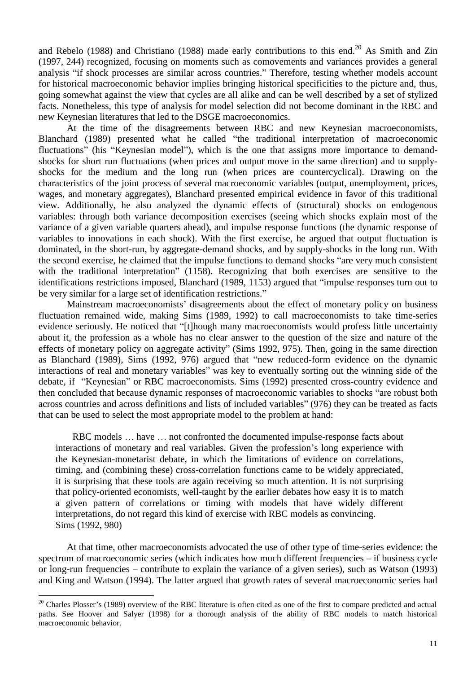and Rebelo (1988) and Christiano (1988) made early contributions to this end.<sup>20</sup> As Smith and Zin (1997, 244) recognized, focusing on moments such as comovements and variances provides a general analysis "if shock processes are similar across countries." Therefore, testing whether models account for historical macroeconomic behavior implies bringing historical specificities to the picture and, thus, going somewhat against the view that cycles are all alike and can be well described by a set of stylized facts. Nonetheless, this type of analysis for model selection did not become dominant in the RBC and new Keynesian literatures that led to the DSGE macroeconomics.

At the time of the disagreements between RBC and new Keynesian macroeconomists, Blanchard (1989) presented what he called "the traditional interpretation of macroeconomic fluctuations" (his "Keynesian model"), which is the one that assigns more importance to demandshocks for short run fluctuations (when prices and output move in the same direction) and to supplyshocks for the medium and the long run (when prices are countercyclical). Drawing on the characteristics of the joint process of several macroeconomic variables (output, unemployment, prices, wages, and monetary aggregates), Blanchard presented empirical evidence in favor of this traditional view. Additionally, he also analyzed the dynamic effects of (structural) shocks on endogenous variables: through both variance decomposition exercises (seeing which shocks explain most of the variance of a given variable quarters ahead), and impulse response functions (the dynamic response of variables to innovations in each shock). With the first exercise, he argued that output fluctuation is dominated, in the short-run, by aggregate-demand shocks, and by supply-shocks in the long run. With the second exercise, he claimed that the impulse functions to demand shocks "are very much consistent with the traditional interpretation" (1158). Recognizing that both exercises are sensitive to the identifications restrictions imposed, Blanchard (1989, 1153) argued that "impulse responses turn out to be very similar for a large set of identification restrictions."

Mainstream macroeconomists' disagreements about the effect of monetary policy on business fluctuation remained wide, making Sims (1989, 1992) to call macroeconomists to take time-series evidence seriously. He noticed that "[t]hough many macroeconomists would profess little uncertainty about it, the profession as a whole has no clear answer to the question of the size and nature of the effects of monetary policy on aggregate activity" (Sims 1992, 975). Then, going in the same direction as Blanchard (1989), Sims (1992, 976) argued that "new reduced-form evidence on the dynamic interactions of real and monetary variables" was key to eventually sorting out the winning side of the debate, if "Keynesian" or RBC macroeconomists. Sims (1992) presented cross-country evidence and then concluded that because dynamic responses of macroeconomic variables to shocks "are robust both across countries and across definitions and lists of included variables" (976) they can be treated as facts that can be used to select the most appropriate model to the problem at hand:

RBC models … have … not confronted the documented impulse-response facts about interactions of monetary and real variables. Given the profession's long experience with the Keynesian-monetarist debate, in which the limitations of evidence on correlations, timing, and (combining these) cross-correlation functions came to be widely appreciated, it is surprising that these tools are again receiving so much attention. It is not surprising that policy-oriented economists, well-taught by the earlier debates how easy it is to match a given pattern of correlations or timing with models that have widely different interpretations, do not regard this kind of exercise with RBC models as convincing. Sims (1992, 980)

At that time, other macroeconomists advocated the use of other type of time-series evidence: the spectrum of macroeconomic series (which indicates how much different frequencies – if business cycle or long-run frequencies – contribute to explain the variance of a given series), such as Watson (1993) and King and Watson (1994). The latter argued that growth rates of several macroeconomic series had

 $\ddot{\phantom{a}}$ 

 $20$  Charles Plosser's (1989) overview of the RBC literature is often cited as one of the first to compare predicted and actual paths. See Hoover and Salyer (1998) for a thorough analysis of the ability of RBC models to match historical macroeconomic behavior.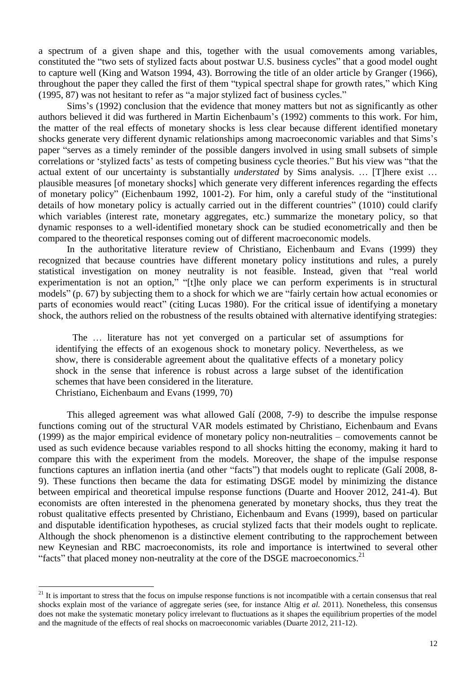a spectrum of a given shape and this, together with the usual comovements among variables, constituted the "two sets of stylized facts about postwar U.S. business cycles" that a good model ought to capture well (King and Watson 1994, 43). Borrowing the title of an older article by Granger (1966), throughout the paper they called the first of them "typical spectral shape for growth rates," which King (1995, 87) was not hesitant to refer as "a major stylized fact of business cycles."

Sims's (1992) conclusion that the evidence that money matters but not as significantly as other authors believed it did was furthered in Martin Eichenbaum's (1992) comments to this work. For him, the matter of the real effects of monetary shocks is less clear because different identified monetary shocks generate very different dynamic relationships among macroeconomic variables and that Sims's paper "serves as a timely reminder of the possible dangers involved in using small subsets of simple correlations or 'stylized facts' as tests of competing business cycle theories." But his view was "that the actual extent of our uncertainty is substantially *understated* by Sims analysis. ... [T]here exist ... plausible measures [of monetary shocks] which generate very different inferences regarding the effects of monetary policy" (Eichenbaum 1992, 1001-2). For him, only a careful study of the "institutional details of how monetary policy is actually carried out in the different countries" (1010) could clarify which variables (interest rate, monetary aggregates, etc.) summarize the monetary policy, so that dynamic responses to a well-identified monetary shock can be studied econometrically and then be compared to the theoretical responses coming out of different macroeconomic models.

In the authoritative literature review of Christiano, Eichenbaum and Evans (1999) they recognized that because countries have different monetary policy institutions and rules, a purely statistical investigation on money neutrality is not feasible. Instead, given that "real world experimentation is not an option," "[t]he only place we can perform experiments is in structural models" (p. 67) by subjecting them to a shock for which we are "fairly certain how actual economies or parts of economies would react" (citing Lucas 1980). For the critical issue of identifying a monetary shock, the authors relied on the robustness of the results obtained with alternative identifying strategies:

The … literature has not yet converged on a particular set of assumptions for identifying the effects of an exogenous shock to monetary policy. Nevertheless, as we show, there is considerable agreement about the qualitative effects of a monetary policy shock in the sense that inference is robust across a large subset of the identification schemes that have been considered in the literature. Christiano, Eichenbaum and Evans (1999, 70)

This alleged agreement was what allowed Galí (2008, 7-9) to describe the impulse response functions coming out of the structural VAR models estimated by Christiano, Eichenbaum and Evans (1999) as the major empirical evidence of monetary policy non-neutralities – comovements cannot be used as such evidence because variables respond to all shocks hitting the economy, making it hard to compare this with the experiment from the models. Moreover, the shape of the impulse response functions captures an inflation inertia (and other "facts") that models ought to replicate (Galí 2008, 8- 9). These functions then became the data for estimating DSGE model by minimizing the distance between empirical and theoretical impulse response functions (Duarte and Hoover 2012, 241-4). But economists are often interested in the phenomena generated by monetary shocks, thus they treat the robust qualitative effects presented by Christiano, Eichenbaum and Evans (1999), based on particular and disputable identification hypotheses, as crucial stylized facts that their models ought to replicate. Although the shock phenomenon is a distinctive element contributing to the rapprochement between new Keynesian and RBC macroeconomists, its role and importance is intertwined to several other "facts" that placed money non-neutrality at the core of the DSGE macroeconomics. $^{21}$ 

 $21$  It is important to stress that the focus on impulse response functions is not incompatible with a certain consensus that real shocks explain most of the variance of aggregate series (see, for instance Altig *et al.* 2011). Nonetheless, this consensus does not make the systematic monetary policy irrelevant to fluctuations as it shapes the equilibrium properties of the model and the magnitude of the effects of real shocks on macroeconomic variables (Duarte 2012, 211-12).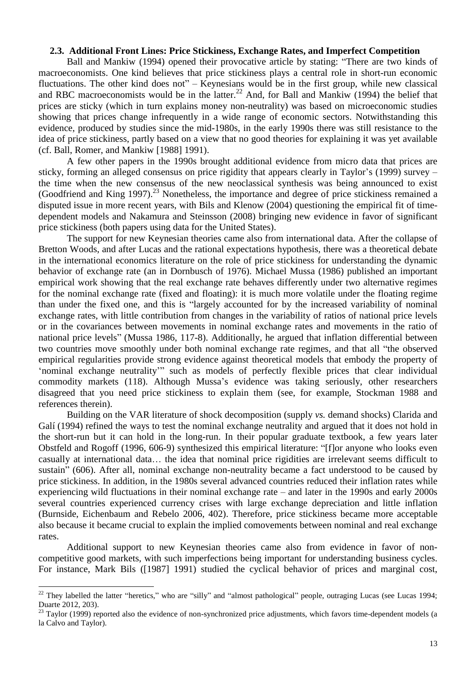## **2.3. Additional Front Lines: Price Stickiness, Exchange Rates, and Imperfect Competition**

Ball and Mankiw (1994) opened their provocative article by stating: "There are two kinds of macroeconomists. One kind believes that price stickiness plays a central role in short-run economic fluctuations. The other kind does not" – Keynesians would be in the first group, while new classical and RBC macroeconomists would be in the latter.<sup>22</sup> And, for Ball and Mankiw (1994) the belief that prices are sticky (which in turn explains money non-neutrality) was based on microeconomic studies showing that prices change infrequently in a wide range of economic sectors. Notwithstanding this evidence, produced by studies since the mid-1980s, in the early 1990s there was still resistance to the idea of price stickiness, partly based on a view that no good theories for explaining it was yet available (cf. Ball, Romer, and Mankiw [1988] 1991).

A few other papers in the 1990s brought additional evidence from micro data that prices are sticky, forming an alleged consensus on price rigidity that appears clearly in Taylor's (1999) survey – the time when the new consensus of the new neoclassical synthesis was being announced to exist (Goodfriend and King 1997).<sup>23</sup> Nonetheless, the importance and degree of price stickiness remained a disputed issue in more recent years, with Bils and Klenow (2004) questioning the empirical fit of timedependent models and Nakamura and Steinsson (2008) bringing new evidence in favor of significant price stickiness (both papers using data for the United States).

The support for new Keynesian theories came also from international data. After the collapse of Bretton Woods, and after Lucas and the rational expectations hypothesis, there was a theoretical debate in the international economics literature on the role of price stickiness for understanding the dynamic behavior of exchange rate (an in Dornbusch of 1976). Michael Mussa (1986) published an important empirical work showing that the real exchange rate behaves differently under two alternative regimes for the nominal exchange rate (fixed and floating): it is much more volatile under the floating regime than under the fixed one, and this is "largely accounted for by the increased variability of nominal exchange rates, with little contribution from changes in the variability of ratios of national price levels or in the covariances between movements in nominal exchange rates and movements in the ratio of national price levels" (Mussa 1986, 117-8). Additionally, he argued that inflation differential between two countries move smoothly under both nominal exchange rate regimes, and that all "the observed empirical regularities provide strong evidence against theoretical models that embody the property of 'nominal exchange neutrality'" such as models of perfectly flexible prices that clear individual commodity markets (118). Although Mussa's evidence was taking seriously, other researchers disagreed that you need price stickiness to explain them (see, for example, Stockman 1988 and references therein).

Building on the VAR literature of shock decomposition (supply *vs.* demand shocks) Clarida and Galí (1994) refined the ways to test the nominal exchange neutrality and argued that it does not hold in the short-run but it can hold in the long-run. In their popular graduate textbook, a few years later Obstfeld and Rogoff (1996, 606-9) synthesized this empirical literature: "[f]or anyone who looks even casually at international data… the idea that nominal price rigidities are irrelevant seems difficult to sustain" (606). After all, nominal exchange non-neutrality became a fact understood to be caused by price stickiness. In addition, in the 1980s several advanced countries reduced their inflation rates while experiencing wild fluctuations in their nominal exchange rate – and later in the 1990s and early 2000s several countries experienced currency crises with large exchange depreciation and little inflation (Burnside, Eichenbaum and Rebelo 2006, 402). Therefore, price stickiness became more acceptable also because it became crucial to explain the implied comovements between nominal and real exchange rates.

Additional support to new Keynesian theories came also from evidence in favor of noncompetitive good markets, with such imperfections being important for understanding business cycles. For instance, Mark Bils ([1987] 1991) studied the cyclical behavior of prices and marginal cost,

 $22$  They labelled the latter "heretics," who are "silly" and "almost pathological" people, outraging Lucas (see Lucas 1994; Duarte 2012, 203).

 $23$  Taylor (1999) reported also the evidence of non-synchronized price adjustments, which favors time-dependent models (a la Calvo and Taylor).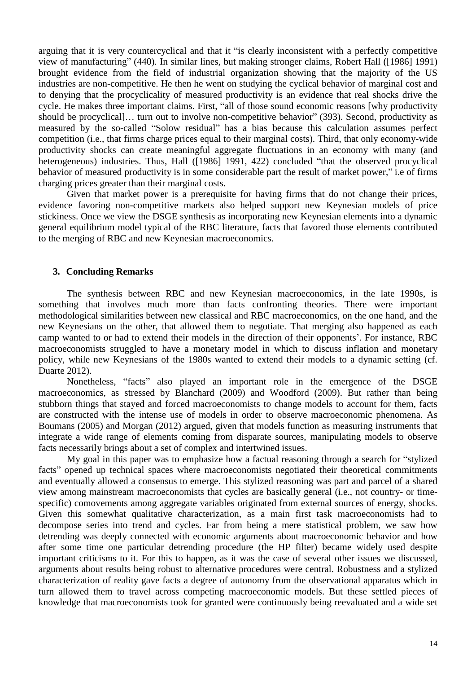arguing that it is very countercyclical and that it "is clearly inconsistent with a perfectly competitive view of manufacturing" (440). In similar lines, but making stronger claims, Robert Hall ([1986] 1991) brought evidence from the field of industrial organization showing that the majority of the US industries are non-competitive. He then he went on studying the cyclical behavior of marginal cost and to denying that the procyclicality of measured productivity is an evidence that real shocks drive the cycle. He makes three important claims. First, "all of those sound economic reasons [why productivity should be procyclical]… turn out to involve non-competitive behavior" (393). Second, productivity as measured by the so-called "Solow residual" has a bias because this calculation assumes perfect competition (i.e., that firms charge prices equal to their marginal costs). Third, that only economy-wide productivity shocks can create meaningful aggregate fluctuations in an economy with many (and heterogeneous) industries. Thus, Hall ([1986] 1991, 422) concluded "that the observed procyclical behavior of measured productivity is in some considerable part the result of market power," i.e of firms charging prices greater than their marginal costs.

Given that market power is a prerequisite for having firms that do not change their prices, evidence favoring non-competitive markets also helped support new Keynesian models of price stickiness. Once we view the DSGE synthesis as incorporating new Keynesian elements into a dynamic general equilibrium model typical of the RBC literature, facts that favored those elements contributed to the merging of RBC and new Keynesian macroeconomics.

#### **3. Concluding Remarks**

The synthesis between RBC and new Keynesian macroeconomics, in the late 1990s, is something that involves much more than facts confronting theories. There were important methodological similarities between new classical and RBC macroeconomics, on the one hand, and the new Keynesians on the other, that allowed them to negotiate. That merging also happened as each camp wanted to or had to extend their models in the direction of their opponents'. For instance, RBC macroeconomists struggled to have a monetary model in which to discuss inflation and monetary policy, while new Keynesians of the 1980s wanted to extend their models to a dynamic setting (cf. Duarte 2012).

Nonetheless, "facts" also played an important role in the emergence of the DSGE macroeconomics, as stressed by Blanchard (2009) and Woodford (2009). But rather than being stubborn things that stayed and forced macroeconomists to change models to account for them, facts are constructed with the intense use of models in order to observe macroeconomic phenomena. As Boumans (2005) and Morgan (2012) argued, given that models function as measuring instruments that integrate a wide range of elements coming from disparate sources, manipulating models to observe facts necessarily brings about a set of complex and intertwined issues.

My goal in this paper was to emphasize how a factual reasoning through a search for "stylized facts" opened up technical spaces where macroeconomists negotiated their theoretical commitments and eventually allowed a consensus to emerge. This stylized reasoning was part and parcel of a shared view among mainstream macroeconomists that cycles are basically general (i.e., not country- or timespecific) comovements among aggregate variables originated from external sources of energy, shocks. Given this somewhat qualitative characterization, as a main first task macroeconomists had to decompose series into trend and cycles. Far from being a mere statistical problem, we saw how detrending was deeply connected with economic arguments about macroeconomic behavior and how after some time one particular detrending procedure (the HP filter) became widely used despite important criticisms to it. For this to happen, as it was the case of several other issues we discussed, arguments about results being robust to alternative procedures were central. Robustness and a stylized characterization of reality gave facts a degree of autonomy from the observational apparatus which in turn allowed them to travel across competing macroeconomic models. But these settled pieces of knowledge that macroeconomists took for granted were continuously being reevaluated and a wide set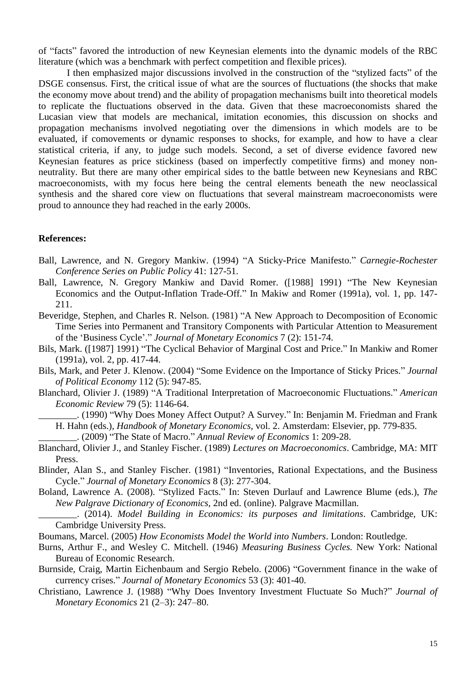of "facts" favored the introduction of new Keynesian elements into the dynamic models of the RBC literature (which was a benchmark with perfect competition and flexible prices).

I then emphasized major discussions involved in the construction of the "stylized facts" of the DSGE consensus. First, the critical issue of what are the sources of fluctuations (the shocks that make the economy move about trend) and the ability of propagation mechanisms built into theoretical models to replicate the fluctuations observed in the data. Given that these macroeconomists shared the Lucasian view that models are mechanical, imitation economies, this discussion on shocks and propagation mechanisms involved negotiating over the dimensions in which models are to be evaluated, if comovements or dynamic responses to shocks, for example, and how to have a clear statistical criteria, if any, to judge such models. Second, a set of diverse evidence favored new Keynesian features as price stickiness (based on imperfectly competitive firms) and money nonneutrality. But there are many other empirical sides to the battle between new Keynesians and RBC macroeconomists, with my focus here being the central elements beneath the new neoclassical synthesis and the shared core view on fluctuations that several mainstream macroeconomists were proud to announce they had reached in the early 2000s.

## **References:**

- Ball, Lawrence, and N. Gregory Mankiw. (1994) "A Sticky-Price Manifesto." *Carnegie-Rochester Conference Series on Public Policy* 41: 127-51.
- Ball, Lawrence, N. Gregory Mankiw and David Romer. ([1988] 1991) "The New Keynesian Economics and the Output-Inflation Trade-Off." In Makiw and Romer (1991a), vol. 1, pp. 147- 211.

Beveridge, Stephen, and Charles R. Nelson. (1981) "A New Approach to Decomposition of Economic Time Series into Permanent and Transitory Components with Particular Attention to Measurement of the 'Business Cycle'." *Journal of Monetary Economics* 7 (2): 151-74.

- Bils, Mark. ([1987] 1991) "The Cyclical Behavior of Marginal Cost and Price." In Mankiw and Romer (1991a), vol. 2, pp. 417-44.
- Bils, Mark, and Peter J. Klenow. (2004) "Some Evidence on the Importance of Sticky Prices." *Journal of Political Economy* 112 (5): 947-85.
- Blanchard, Olivier J. (1989) "A Traditional Interpretation of Macroeconomic Fluctuations." *American Economic Review* 79 (5): 1146-64.

\_\_\_\_\_\_\_\_. (1990) "Why Does Money Affect Output? A Survey." In: Benjamin M. Friedman and Frank H. Hahn (eds.), *Handbook of Monetary Economics*, vol. 2. Amsterdam: Elsevier, pp. 779-835.

\_\_\_\_\_\_\_\_. (2009) "The State of Macro." *Annual Review of Economics* 1: 209-28.

Blanchard, Olivier J., and Stanley Fischer. (1989) *Lectures on Macroeconomics*. Cambridge, MA: MIT Press.

Blinder, Alan S., and Stanley Fischer. (1981) "Inventories, Rational Expectations, and the Business Cycle." *Journal of Monetary Economics* 8 (3): 277-304.

- Boland, Lawrence A. (2008). "Stylized Facts." In: Steven Durlauf and Lawrence Blume (eds.), *The New Palgrave Dictionary of Economics*, 2nd ed. (online). Palgrave Macmillan.
	- \_\_\_\_\_\_\_\_. (2014). *Model Building in Economics: its purposes and limitations*. Cambridge, UK: Cambridge University Press.

Boumans, Marcel. (2005) *How Economists Model the World into Numbers*. London: Routledge.

- Burns, Arthur F., and Wesley C. Mitchell. (1946) *Measuring Business Cycles.* New York: National Bureau of Economic Research.
- Burnside, Craig, Martin Eichenbaum and Sergio Rebelo. (2006) "Government finance in the wake of currency crises." *Journal of Monetary Economics* 53 (3): 401-40.
- Christiano, Lawrence J. (1988) "Why Does Inventory Investment Fluctuate So Much?" *Journal of Monetary Economics* 21 (2–3): 247–80.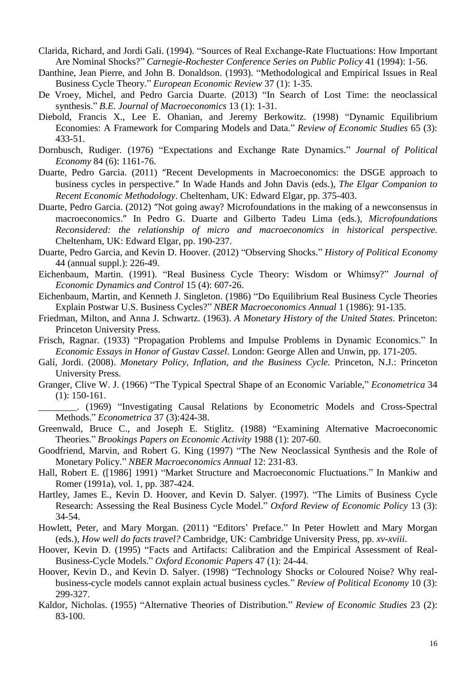- Clarida, Richard, and Jordi Gali. (1994). "Sources of Real Exchange-Rate Fluctuations: How Important Are Nominal Shocks?" *Carnegie-Rochester Conference Series on Public Policy* 41 (1994): 1-56.
- Danthine, Jean Pierre, and John B. Donaldson. (1993). "Methodological and Empirical Issues in Real Business Cycle Theory." *European Economic Review* 37 (1): 1-35.
- De Vroey, Michel, and Pedro Garcia Duarte. (2013) "In Search of Lost Time: the neoclassical synthesis." *B.E. Journal of Macroeconomics* 13 (1): 1-31.
- Diebold, Francis X., Lee E. Ohanian, and Jeremy Berkowitz. (1998) "Dynamic Equilibrium Economies: A Framework for Comparing Models and Data." *Review of Economic Studies* 65 (3): 433-51.
- Dornbusch, Rudiger. (1976) "Expectations and Exchange Rate Dynamics." *Journal of Political Economy* 84 (6): 1161-76.
- Duarte, Pedro Garcia. (2011) "Recent Developments in Macroeconomics: the DSGE approach to business cycles in perspective." In Wade Hands and John Davis (eds.), *The Elgar Companion to Recent Economic Methodology*. Cheltenham, UK: Edward Elgar, pp. 375-403.
- Duarte, Pedro Garcia. (2012) "Not going away? Microfoundations in the making of a newconsensus in macroeconomics." In Pedro G. Duarte and Gilberto Tadeu Lima (eds.), *Microfoundations Reconsidered: the relationship of micro and macroeconomics in historical perspective*. Cheltenham, UK: Edward Elgar, pp. 190-237.
- Duarte, Pedro Garcia, and Kevin D. Hoover. (2012) "Observing Shocks." *History of Political Economy* 44 (annual suppl.): 226-49.
- Eichenbaum, Martin. (1991). "Real Business Cycle Theory: Wisdom or Whimsy?" *Journal of Economic Dynamics and Control* 15 (4): 607-26.
- Eichenbaum, Martin, and Kenneth J. Singleton. (1986) "Do Equilibrium Real Business Cycle Theories Explain Postwar U.S. Business Cycles?" *NBER Macroeconomics Annual* 1 (1986): 91-135.
- Friedman, Milton, and Anna J. Schwartz. (1963). *A Monetary History of the United States*. Princeton: Princeton University Press.
- Frisch, Ragnar. (1933) "Propagation Problems and Impulse Problems in Dynamic Economics." In *Economic Essays in Honor of Gustav Cassel*. London: George Allen and Unwin, pp. 171-205.
- Galí, Jordi. (2008). *Monetary Policy, Inflation, and the Business Cycle*. Princeton, N.J.: Princeton University Press.
- Granger, Clive W. J. (1966) "The Typical Spectral Shape of an Economic Variable," *Econometrica* 34 (1): 150-161.
- \_\_\_\_\_\_\_\_. (1969) "Investigating Causal Relations by Econometric Models and Cross-Spectral Methods." *Econometrica* 37 (3):424-38.
- Greenwald, Bruce C., and Joseph E. Stiglitz. (1988) "Examining Alternative Macroeconomic Theories." *Brookings Papers on Economic Activity* 1988 (1): 207-60.
- Goodfriend, Marvin, and Robert G. King (1997) "The New Neoclassical Synthesis and the Role of Monetary Policy." *NBER Macroeconomics Annual* 12: 231-83.
- Hall, Robert E. ([1986] 1991) "Market Structure and Macroeconomic Fluctuations." In Mankiw and Romer (1991a), vol. 1, pp. 387-424.
- Hartley, James E., Kevin D. Hoover, and Kevin D. Salyer. (1997). "The Limits of Business Cycle Research: Assessing the Real Business Cycle Model." *Oxford Review of Economic Policy* 13 (3): 34-54.
- Howlett, Peter, and Mary Morgan. (2011) "Editors' Preface." In Peter Howlett and Mary Morgan (eds.), *How well do facts travel?* Cambridge, UK: Cambridge University Press, pp. *xv*-*xviii*.
- Hoover, Kevin D. (1995) "Facts and Artifacts: Calibration and the Empirical Assessment of Real-Business-Cycle Models." *Oxford Economic Papers* 47 (1): 24-44.
- Hoover, Kevin D., and Kevin D. Salyer. (1998) "Technology Shocks or Coloured Noise? Why realbusiness-cycle models cannot explain actual business cycles." *Review of Political Economy* 10 (3): 299-327.
- Kaldor, Nicholas. (1955) "Alternative Theories of Distribution." *Review of Economic Studies* 23 (2): 83-100.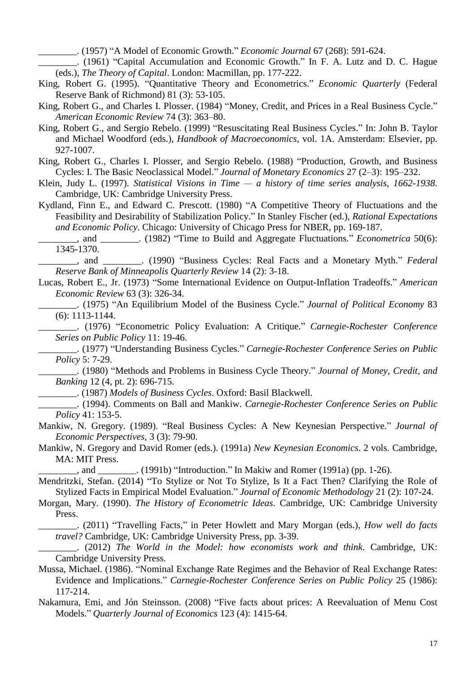\_\_\_\_\_\_\_\_. (1957) "A Model of Economic Growth." *Economic Journal* 67 (268): 591-624.

\_\_\_\_\_\_\_\_. (1961) "Capital Accumulation and Economic Growth." In F. A. Lutz and D. C. Hague (eds.), *The Theory of Capital*. London: Macmillan, pp. 177-222.

- King, Robert G. (1995). "Quantitative Theory and Econometrics." *Economic Quarterly* (Federal Reserve Bank of Richmond) 81 (3): 53-105.
- King, Robert G., and Charles I. Plosser. (1984) "Money, Credit, and Prices in a Real Business Cycle." *American Economic Review* 74 (3): 363–80.
- King, Robert G., and Sergio Rebelo. (1999) "Resuscitating Real Business Cycles." In: John B. Taylor and Michael Woodford (eds.), *Handbook of Macroeconomics*, vol. 1A. Amsterdam: Elsevier, pp. 927-1007.
- King, Robert G., Charles I. Plosser, and Sergio Rebelo. (1988) "Production, Growth, and Business Cycles: I. The Basic Neoclassical Model." *Journal of Monetary Economics* 27 (2–3): 195–232.
- Klein, Judy L. (1997). *Statistical Visions in Time — a history of time series analysis, 1662-1938*. Cambridge, UK: Cambridge University Press.
- Kydland, Finn E., and Edward C. Prescott. (1980) "A Competitive Theory of Fluctuations and the Feasibility and Desirability of Stabilization Policy." In Stanley Fischer (ed.), *Rational Expectations and Economic Policy*. Chicago: University of Chicago Press for NBER, pp. 169-187.
- \_\_\_\_\_\_\_\_, and \_\_\_\_\_\_\_\_. (1982) "Time to Build and Aggregate Fluctuations." *Econometrica* 50(6): 1345-1370.
- \_\_\_\_\_\_\_\_, and \_\_\_\_\_\_\_\_. (1990) "Business Cycles: Real Facts and a Monetary Myth." *Federal Reserve Bank of Minneapolis Quarterly Review* 14 (2): 3-18.
- Lucas, Robert E., Jr. (1973) "Some International Evidence on Output-Inflation Tradeoffs." *American Economic Review* 63 (3): 326-34.

\_\_\_\_\_\_\_\_. (1975) "An Equilibrium Model of the Business Cycle." *Journal of Political Economy* 83 (6): 1113-1144.

\_\_\_\_\_\_\_\_. (1976) "Econometric Policy Evaluation: A Critique." *Carnegie-Rochester Conference Series on Public Policy* 11: 19-46.

\_\_\_\_\_\_\_\_. (1977) "Understanding Business Cycles." *Carnegie-Rochester Conference Series on Public Policy* 5: 7-29.

\_\_\_\_\_\_\_\_. (1980) "Methods and Problems in Business Cycle Theory." *Journal of Money, Credit, and Banking* 12 (4, pt. 2): 696-715.

\_\_\_\_\_\_\_\_. (1987) *Models of Business Cycles*. Oxford: Basil Blackwell.

\_\_\_\_\_\_\_\_. (1994). Comments on Ball and Mankiw. *Carnegie-Rochester Conference Series on Public Policy* 41: 153-5.

- Mankiw, N. Gregory. (1989). "Real Business Cycles: A New Keynesian Perspective." *Journal of Economic Perspectives*, 3 (3): 79-90.
- Mankiw, N. Gregory and David Romer (eds.). (1991a) *New Keynesian Economics*. 2 vols. Cambridge, MA: MIT Press.

and  $(1991b)$  "Introduction." In Makiw and Romer (1991a) (pp. 1-26).

Mendritzki, Stefan. (2014) "To Stylize or Not To Stylize, Is It a Fact Then? Clarifying the Role of Stylized Facts in Empirical Model Evaluation." *Journal of Economic Methodology* 21 (2): 107-24.

Morgan, Mary. (1990). *The History of Econometric Ideas*. Cambridge, UK: Cambridge University Press.

\_\_\_\_\_\_\_\_. (2011) "Travelling Facts," in Peter Howlett and Mary Morgan (eds.), *How well do facts travel?* Cambridge, UK: Cambridge University Press, pp. 3-39.

- \_\_\_\_\_\_\_\_. (2012) *The World in the Model: how economists work and think*. Cambridge, UK: Cambridge University Press.
- Mussa, Michael. (1986). "Nominal Exchange Rate Regimes and the Behavior of Real Exchange Rates: Evidence and Implications." *Carnegie-Rochester Conference Series on Public Policy* 25 (1986): 117-214.
- Nakamura, Emi, and Jón Steinsson. (2008) "Five facts about prices: A Reevaluation of Menu Cost Models." *Quarterly Journal of Economics* 123 (4): 1415-64.